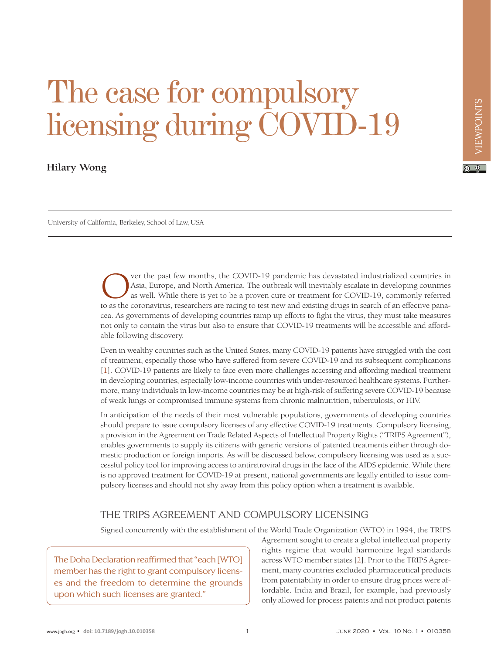$\boxed{6}$  0

# The case for compulsory licensing during COVID-19

## **Hilary Wong**

University of California, Berkeley, School of Law, USA

Ver the past few months, the COVID-19 pandemic has devastated industrialized countries in Asia, Europe, and North America. The outbreak will inevitably escalate in developing countries as well. While there is yet to be a p Asia, Europe, and North America. The outbreak will inevitably escalate in developing countries as well. While there is yet to be a proven cure or treatment for COVID-19, commonly referred to as the coronavirus, researchers are racing to test new and existing drugs in search of an effective panacea. As governments of developing countries ramp up efforts to fight the virus, they must take measures not only to contain the virus but also to ensure that COVID-19 treatments will be accessible and affordable following discovery.

Even in wealthy countries such as the United States, many COVID-19 patients have struggled with the cost of treatment, especially those who have suffered from severe COVID-19 and its subsequent complications [\[1](#page-3-0)]. COVID-19 patients are likely to face even more challenges accessing and affording medical treatment in developing countries, especially low-income countries with under-resourced healthcare systems. Furthermore, many individuals in low-income countries may be at high-risk of suffering severe COVID-19 because of weak lungs or compromised immune systems from chronic malnutrition, tuberculosis, or HIV.

In anticipation of the needs of their most vulnerable populations, governments of developing countries should prepare to issue compulsory licenses of any effective COVID-19 treatments. Compulsory licensing, a provision in the Agreement on Trade Related Aspects of Intellectual Property Rights ("TRIPS Agreement"), enables governments to supply its citizens with generic versions of patented treatments either through domestic production or foreign imports. As will be discussed below, compulsory licensing was used as a successful policy tool for improving access to antiretroviral drugs in the face of the AIDS epidemic. While there is no approved treatment for COVID-19 at present, national governments are legally entitled to issue compulsory licenses and should not shy away from this policy option when a treatment is available.

#### THE TRIPS AGREEMENT AND COMPULSORY LICENSING

Signed concurrently with the establishment of the World Trade Organization (WTO) in 1994, the TRIPS

The Doha Declaration reaffirmed that "each [WTO] member has the right to grant compulsory licenses and the freedom to determine the grounds upon which such licenses are granted."

Agreement sought to create a global intellectual property rights regime that would harmonize legal standards across WTO member states [\[2](#page-3-1)]. Prior to the TRIPS Agreement, many countries excluded pharmaceutical products from patentability in order to ensure drug prices were affordable. India and Brazil, for example, had previously only allowed for process patents and not product patents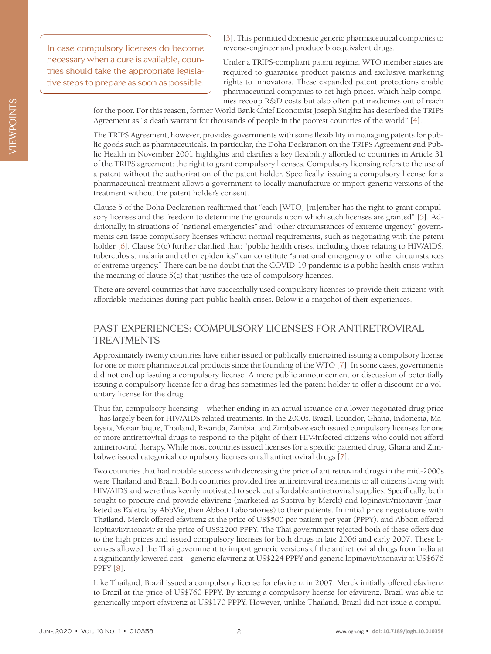In case compulsory licenses do become necessary when a cure is available, countries should take the appropriate legislative steps to prepare as soon as possible.

[\[3](#page-3-2)]. This permitted domestic generic pharmaceutical companies to reverse-engineer and produce bioequivalent drugs.

Under a TRIPS-compliant patent regime, WTO member states are required to guarantee product patents and exclusive marketing rights to innovators. These expanded patent protections enable pharmaceutical companies to set high prices, which help companies recoup R&D costs but also often put medicines out of reach

for the poor. For this reason, former World Bank Chief Economist Joseph Stiglitz has described the TRIPS Agreement as "a death warrant for thousands of people in the poorest countries of the world" [\[4](#page-3-3)].

The TRIPS Agreement, however, provides governments with some flexibility in managing patents for public goods such as pharmaceuticals. In particular, the Doha Declaration on the TRIPS Agreement and Public Health in November 2001 highlights and clarifies a key flexibility afforded to countries in Article 31 of the TRIPS agreement: the right to grant compulsory licenses. Compulsory licensing refers to the use of a patent without the authorization of the patent holder. Specifically, issuing a compulsory license for a pharmaceutical treatment allows a government to locally manufacture or import generic versions of the treatment without the patent holder's consent.

Clause 5 of the Doha Declaration reaffirmed that "each [WTO] [m]ember has the right to grant compulsory licenses and the freedom to determine the grounds upon which such licenses are granted" [\[5\]](#page-3-4). Additionally, in situations of "national emergencies" and "other circumstances of extreme urgency," governments can issue compulsory licenses without normal requirements, such as negotiating with the patent holder [\[6](#page-3-5)]. Clause 5(c) further clarified that: "public health crises, including those relating to HIV/AIDS, tuberculosis, malaria and other epidemics" can constitute "a national emergency or other circumstances of extreme urgency." There can be no doubt that the COVID-19 pandemic is a public health crisis within the meaning of clause 5(c) that justifies the use of compulsory licenses.

There are several countries that have successfully used compulsory licenses to provide their citizens with affordable medicines during past public health crises. Below is a snapshot of their experiences.

#### PAST EXPERIENCES: COMPULSORY LICENSES FOR ANTIRETROVIRAL **TREATMENTS**

Approximately twenty countries have either issued or publically entertained issuing a compulsory license for one or more pharmaceutical products since the founding of the WTO [\[7\]](#page-3-6). In some cases, governments did not end up issuing a compulsory license. A mere public announcement or discussion of potentially issuing a compulsory license for a drug has sometimes led the patent holder to offer a discount or a voluntary license for the drug.

Thus far, compulsory licensing – whether ending in an actual issuance or a lower negotiated drug price – has largely been for HIV/AIDS related treatments. In the 2000s, Brazil, Ecuador, Ghana, Indonesia, Malaysia, Mozambique, Thailand, Rwanda, Zambia, and Zimbabwe each issued compulsory licenses for one or more antiretroviral drugs to respond to the plight of their HIV-infected citizens who could not afford antiretroviral therapy. While most countries issued licenses for a specific patented drug, Ghana and Zimbabwe issued categorical compulsory licenses on all antiretroviral drugs [[7](#page-3-6)].

Two countries that had notable success with decreasing the price of antiretroviral drugs in the mid-2000s were Thailand and Brazil. Both countries provided free antiretroviral treatments to all citizens living with HIV/AIDS and were thus keenly motivated to seek out affordable antiretroviral supplies. Specifically, both sought to procure and provide efavirenz (marketed as Sustiva by Merck) and lopinavir/ritonavir (marketed as Kaletra by AbbVie, then Abbott Laboratories) to their patients. In initial price negotiations with Thailand, Merck offered efavirenz at the price of US\$500 per patient per year (PPPY), and Abbott offered lopinavir/ritonavir at the price of US\$2200 PPPY. The Thai government rejected both of these offers due to the high prices and issued compulsory licenses for both drugs in late 2006 and early 2007. These licenses allowed the Thai government to import generic versions of the antiretroviral drugs from India at a significantly lowered cost – generic efavirenz at US\$224 PPPY and generic lopinavir/ritonavir at US\$676 PPPY [\[8](#page-3-7)].

Like Thailand, Brazil issued a compulsory license for efavirenz in 2007. Merck initially offered efavirenz to Brazil at the price of US\$760 PPPY. By issuing a compulsory license for efavirenz, Brazil was able to generically import efavirenz at US\$170 PPPY. However, unlike Thailand, Brazil did not issue a compul-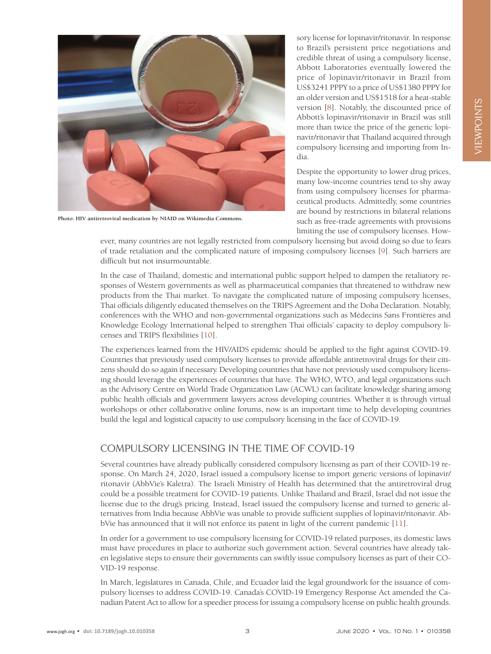

**Photo: HIV antiretroviral medication by NIAID on Wikimedia Commons.**

sory license for lopinavir/ritonavir. In response to Brazil's persistent price negotiations and credible threat of using a compulsory license, Abbott Laboratories eventually lowered the price of lopinavir/ritonavir in Brazil from US\$3241 PPPY to a price of US\$1380 PPPY for an older version and US\$1518 for a heat-stable version [[8](#page-3-7)]. Notably, the discounted price of Abbott's lopinavir/ritonavir in Brazil was still more than twice the price of the generic lopinavir/ritonavir that Thailand acquired through compulsory licensing and importing from India.

Despite the opportunity to lower drug prices, many low-income countries tend to shy away from using compulsory licenses for pharmaceutical products. Admittedly, some countries are bound by restrictions in bilateral relations such as free-trade agreements with provisions limiting the use of compulsory licenses. How-

ever, many countries are not legally restricted from compulsory licensing but avoid doing so due to fears of trade retaliation and the complicated nature of imposing compulsory licenses [\[9](#page-3-8)]. Such barriers are difficult but not insurmountable.

In the case of Thailand, domestic and international public support helped to dampen the retaliatory responses of Western governments as well as pharmaceutical companies that threatened to withdraw new products from the Thai market. To navigate the complicated nature of imposing compulsory licenses, Thai officials diligently educated themselves on the TRIPS Agreement and the Doha Declaration. Notably, conferences with the WHO and non-governmental organizations such as Médecins Sans Frontières and Knowledge Ecology International helped to strengthen Thai officials' capacity to deploy compulsory licenses and TRIPS flexibilities [\[10\]](#page-4-0).

The experiences learned from the HIV/AIDS epidemic should be applied to the fight against COVID-19. Countries that previously used compulsory licenses to provide affordable antiretroviral drugs for their citizens should do so again if necessary. Developing countries that have not previously used compulsory licensing should leverage the experiences of countries that have. The WHO, WTO, and legal organizations such as the Advisory Centre on World Trade Organization Law (ACWL) can facilitate knowledge sharing among public health officials and government lawyers across developing countries. Whether it is through virtual workshops or other collaborative online forums, now is an important time to help developing countries build the legal and logistical capacity to use compulsory licensing in the face of COVID-19.

## COMPULSORY LICENSING IN THE TIME OF COVID-19

Several countries have already publically considered compulsory licensing as part of their COVID-19 response. On March 24, 2020, Israel issued a compulsory license to import generic versions of lopinavir/ ritonavir (AbbVie's Kaletra). The Israeli Ministry of Health has determined that the antiretroviral drug could be a possible treatment for COVID-19 patients. Unlike Thailand and Brazil, Israel did not issue the license due to the drug's pricing. Instead, Israel issued the compulsory license and turned to generic alternatives from India because AbbVie was unable to provide sufficient supplies of lopinavir/ritonavir. AbbVie has announced that it will not enforce its patent in light of the current pandemic [[11](#page-4-1)].

In order for a government to use compulsory licensing for COVID-19 related purposes, its domestic laws must have procedures in place to authorize such government action. Several countries have already taken legislative steps to ensure their governments can swiftly issue compulsory licenses as part of their CO-VID-19 response.

In March, legislatures in Canada, Chile, and Ecuador laid the legal groundwork for the issuance of compulsory licenses to address COVID-19. Canada's COVID-19 Emergency Response Act amended the Canadian Patent Act to allow for a speedier process for issuing a compulsory license on public health grounds.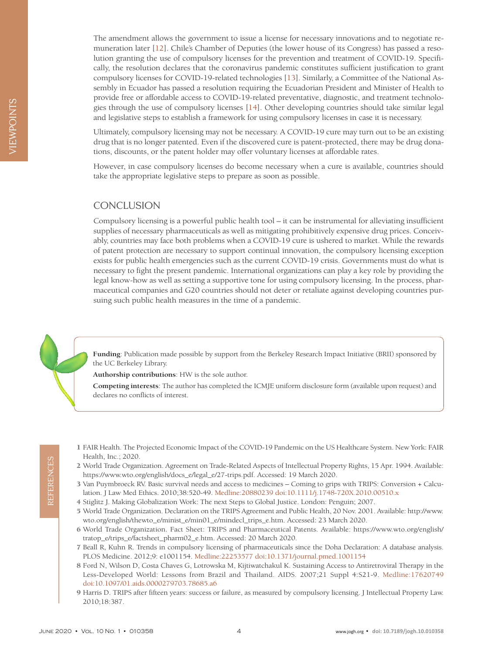The amendment allows the government to issue a license for necessary innovations and to negotiate remuneration later [\[12\]](#page-4-2). Chile's Chamber of Deputies (the lower house of its Congress) has passed a resolution granting the use of compulsory licenses for the prevention and treatment of COVID-19. Specifically, the resolution declares that the coronavirus pandemic constitutes sufficient justification to grant compulsory licenses for COVID-19-related technologies [\[13\]](#page-4-3). Similarly, a Committee of the National Assembly in Ecuador has passed a resolution requiring the Ecuadorian President and Minister of Health to provide free or affordable access to COVID-19-related preventative, diagnostic, and treatment technologies through the use of compulsory licenses [\[14](#page-4-4)]. Other developing countries should take similar legal and legislative steps to establish a framework for using compulsory licenses in case it is necessary.

Ultimately, compulsory licensing may not be necessary. A COVID-19 cure may turn out to be an existing drug that is no longer patented. Even if the discovered cure is patent-protected, there may be drug donations, discounts, or the patent holder may offer voluntary licenses at affordable rates.

However, in case compulsory licenses do become necessary when a cure is available, countries should take the appropriate legislative steps to prepare as soon as possible.

#### **CONCLUSION**

Compulsory licensing is a powerful public health tool – it can be instrumental for alleviating insufficient supplies of necessary pharmaceuticals as well as mitigating prohibitively expensive drug prices. Conceivably, countries may face both problems when a COVID-19 cure is ushered to market. While the rewards of patent protection are necessary to support continual innovation, the compulsory licensing exception exists for public health emergencies such as the current COVID-19 crisis. Governments must do what is necessary to fight the present pandemic. International organizations can play a key role by providing the legal know-how as well as setting a supportive tone for using compulsory licensing. In the process, pharmaceutical companies and G20 countries should not deter or retaliate against developing countries pursuing such public health measures in the time of a pandemic.

**Funding**: Publication made possible by support from the Berkeley Research Impact Initiative (BRII) sponsored by the UC Berkeley Library.

**Authorship contributions**: HW is the sole author.

**Competing interests**: The author has completed the ICMJE uniform disclosure form (available upon request) and declares no conflicts of interest.

- <span id="page-3-0"></span>1 FAIR Health. The Projected Economic Impact of the COVID-19 Pandemic on the US Healthcare System. New York: FAIR Health, Inc.; 2020.
- <span id="page-3-1"></span>2 World Trade Organization. Agreement on Trade-Related Aspects of Intellectual Property Rights, 15 Apr. 1994. Available: https://www.wto.org/english/docs\_e/legal\_e/27-trips.pdf. Accessed: 19 March 2020.
- <span id="page-3-2"></span>3 Van Puymbroeck RV. Basic survival needs and access to medicines – Coming to grips with TRIPS: Conversion + Calculation. J Law Med Ethics. 2010;38:520-49[. Medline:20880239](https://www.ncbi.nlm.nih.gov/entrez/query.fcgi?cmd=Retrieve&db=PubMed&list_uids=20880239&dopt=Abstract) [doi:10.1111/j.1748-720X.2010.00510.x](https://doi.org/10.1111/j.1748-720X.2010.00510.x)
- <span id="page-3-3"></span>4 Stiglitz J. Making Globalization Work: The next Steps to Global Justice. London: Penguin; 2007.
- <span id="page-3-4"></span>5 World Trade Organization. Declaration on the TRIPS Agreement and Public Health, 20 Nov. 2001. Available: [http://www.](http://www.wto.org/english/thewto_e/minist_e/min01_e/mindecl_trips_e.htm) [wto.org/english/thewto\\_e/minist\\_e/min01\\_e/mindecl\\_trips\\_e.htm.](http://www.wto.org/english/thewto_e/minist_e/min01_e/mindecl_trips_e.htm) Accessed: 23 March 2020.
- <span id="page-3-5"></span>6 World Trade Organization. Fact Sheet: TRIPS and Pharmaceutical Patents. Available: [https://www.wto.org/english/](https://www.wto.org/english/tratop_e/trips_e/factsheet_pharm02_e.htm) [tratop\\_e/trips\\_e/factsheet\\_pharm02\\_e.htm](https://www.wto.org/english/tratop_e/trips_e/factsheet_pharm02_e.htm). Accessed: 20 March 2020.
- <span id="page-3-6"></span>7 Beall R, Kuhn R. Trends in compulsory licensing of pharmaceuticals since the Doha Declaration: A database analysis. PLOS Medicine. 2012;9: e1001154. [Medline:22253577](https://www.ncbi.nlm.nih.gov/entrez/query.fcgi?cmd=Retrieve&db=PubMed&list_uids=22253577&dopt=Abstract) [doi:10.1371/journal.pmed.1001154](https://doi.org/10.1371/journal.pmed.1001154)
- <span id="page-3-7"></span>8 Ford N, Wilson D, Costa Chaves G, Lotrowska M, Kijtiwatchakul K. Sustaining Access to Antiretroviral Therapy in the Less-Developed World: Lessons from Brazil and Thailand. AIDS. 2007;21 Suppl 4:S21-9[. Medline:17620749](https://www.ncbi.nlm.nih.gov/entrez/query.fcgi?cmd=Retrieve&db=PubMed&list_uids=17620749&dopt=Abstract) [doi:10.1097/01.aids.0000279703.78685.a6](https://doi.org/10.1097/01.aids.0000279703.78685.a6)
- <span id="page-3-8"></span>9 Harris D. TRIPS after fifteen years: success or failure, as measured by compulsory licensing. J Intellectual Property Law. 2010;18:387.